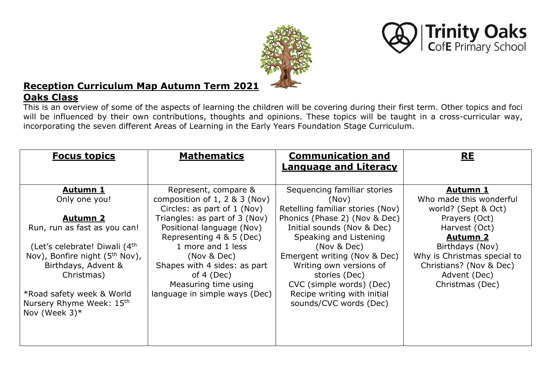



# **Reception Curriculum Map Autumn Term 2021**

## **Oaks Class**

This is an overview of some of the aspects of learning the children will be covering during their first term. Other topics and foci will be influenced by their own contributions, thoughts and opinions. These topics will be taught in a cross-curricular way, incorporating the seven different Areas of Learning in the Early Years Foundation Stage Curriculum.

| <b>Focus topics</b>                                                                       | <b>Mathematics</b>                                           | <b>Communication and</b>                                          | <b>RE</b>                                      |
|-------------------------------------------------------------------------------------------|--------------------------------------------------------------|-------------------------------------------------------------------|------------------------------------------------|
|                                                                                           |                                                              | <b>Language and Literacy</b>                                      |                                                |
| <b>Autumn 1</b>                                                                           | Represent, compare &                                         | Sequencing familiar stories                                       | <b>Autumn 1</b>                                |
| Only one you!                                                                             | composition of 1, 2 $&$ 3 (Nov)                              | (Nov)                                                             | Who made this wonderful                        |
| <b>Autumn 2</b>                                                                           | Circles: as part of 1 (Nov)<br>Triangles: as part of 3 (Nov) | Retelling familiar stories (Nov)<br>Phonics (Phase 2) (Nov & Dec) | world? (Sept & Oct)<br>Prayers (Oct)           |
| Run, run as fast as you can!                                                              | Positional language (Nov)<br>Representing 4 & 5 (Dec)        | Initial sounds (Nov & Dec)<br>Speaking and Listening              | Harvest (Oct)<br><b>Autumn 2</b>               |
| (Let's celebrate! Diwali (4 <sup>th</sup> )<br>Nov), Bonfire night (5 <sup>th</sup> Nov), | 1 more and 1 less<br>(Nov & Dec)                             | (Nov & Dec)<br>Emergent writing (Nov & Dec)                       | Birthdays (Nov)<br>Why is Christmas special to |
| Birthdays, Advent &<br>Christmas)                                                         | Shapes with 4 sides: as part<br>of $4$ (Dec)                 | Writing own versions of<br>stories (Dec)                          | Christians? (Nov & Dec)<br>Advent (Dec)        |
| *Road safety week & World                                                                 | Measuring time using<br>language in simple ways (Dec)        | CVC (simple words) (Dec)<br>Recipe writing with initial           | Christmas (Dec)                                |
| Nursery Rhyme Week: 15th<br>Nov (Week $3$ )*                                              |                                                              | sounds/CVC words (Dec)                                            |                                                |
|                                                                                           |                                                              |                                                                   |                                                |
|                                                                                           |                                                              |                                                                   |                                                |